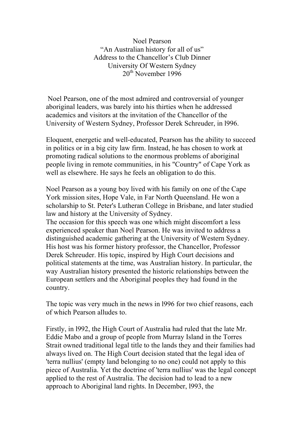Noel Pearson "An Australian history for all of us" Address to the Chancellor's Club Dinner University Of Western Sydney  $20^{th}$  November 1996

Noel Pearson, one of the most admired and controversial of younger aboriginal leaders, was barely into his thirties when he addressed academics and visitors at the invitation of the Chancellor of the University of Western Sydney, Professor Derek Schreuder, in l996.

Eloquent, energetic and well-educated, Pearson has the ability to succeed in politics or in a big city law firm. Instead, he has chosen to work at promoting radical solutions to the enormous problems of aboriginal people living in remote communities, in his "Country" of Cape York as well as elsewhere. He says he feels an obligation to do this.

Noel Pearson as a young boy lived with his family on one of the Cape York mission sites, Hope Vale, in Far North Queensland. He won a scholarship to St. Peter's Lutheran College in Brisbane, and later studied law and history at the University of Sydney.

The occasion for this speech was one which might discomfort a less experienced speaker than Noel Pearson. He was invited to address a distinguished academic gathering at the University of Western Sydney. His host was his former history professor, the Chancellor, Professor Derek Schreuder. His topic, inspired by High Court decisions and political statements at the time, was Australian history. In particular, the way Australian history presented the historic relationships between the European settlers and the Aboriginal peoples they had found in the country.

The topic was very much in the news in l996 for two chief reasons, each of which Pearson alludes to.

Firstly, in l992, the High Court of Australia had ruled that the late Mr. Eddie Mabo and a group of people from Murray Island in the Torres Strait owned traditional legal title to the lands they and their families had always lived on. The High Court decision stated that the legal idea of 'terra nullius' (empty land belonging to no one) could not apply to this piece of Australia. Yet the doctrine of 'terra nullius' was the legal concept applied to the rest of Australia. The decision had to lead to a new approach to Aboriginal land rights. In December, l993, the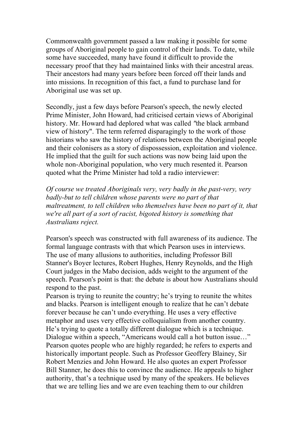Commonwealth government passed a law making it possible for some groups of Aboriginal people to gain control of their lands. To date, while some have succeeded, many have found it difficult to provide the necessary proof that they had maintained links with their ancestral areas. Their ancestors had many years before been forced off their lands and into missions. In recognition of this fact, a fund to purchase land for Aboriginal use was set up.

Secondly, just a few days before Pearson's speech, the newly elected Prime Minister, John Howard, had criticised certain views of Aboriginal history. Mr. Howard had deplored what was called *"*the black armband view of history". The term referred disparagingly to the work of those historians who saw the history of relations between the Aboriginal people and their colonisers as a story of dispossession, exploitation and violence. He implied that the guilt for such actions was now being laid upon the whole non-Aboriginal population, who very much resented it. Pearson quoted what the Prime Minister had told a radio interviewer:

*Of course we treated Aboriginals very, very badly in the past-very, very badly-but to tell children whose parents were no part of that maltreatment, to tell children who themselves have been no part of it, that we're all part of a sort of racist, bigoted history is something that Australians reject.*

Pearson's speech was constructed with full awareness of its audience. The formal language contrasts with that which Pearson uses in interviews. The use of many allusions to authorities, including Professor Bill Stanner's Boyer lectures, Robert Hughes, Henry Reynolds, and the High Court judges in the Mabo decision, adds weight to the argument of the speech. Pearson's point is that: the debate is about how Australians should respond to the past.

Pearson is trying to reunite the country; he's trying to reunite the whites and blacks. Pearson is intelligent enough to realize that he can't debate forever because he can't undo everything. He uses a very effective metaphor and uses very effective colloquialism from another country. He's trying to quote a totally different dialogue which is a technique. Dialogue within a speech, "Americans would call a hot button issue…" Pearson quotes people who are highly regarded; he refers to experts and historically important people. Such as Professor Geoffery Blainey, Sir Robert Menzies and John Howard. He also quotes an expert Professor Bill Stanner, he does this to convince the audience. He appeals to higher authority, that's a technique used by many of the speakers. He believes that we are telling lies and we are even teaching them to our children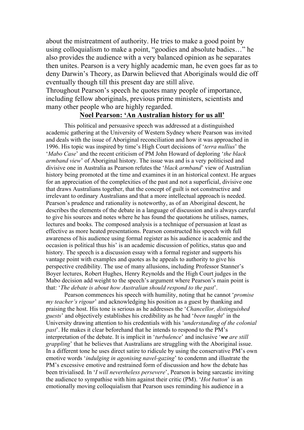about the mistreatment of authority. He tries to make a good point by using colloquialism to make a point, "goodies and absolute badies…" he also provides the audience with a very balanced opinion as he separates then unites. Pearson is a very highly academic man, he even goes far as to deny Darwin's Theory, as Darwin believed that Aboriginals would die off eventually though till this present day are still alive.

Throughout Pearson's speech he quotes many people of importance, including fellow aboriginals, previous prime ministers, scientists and many other people who are highly regarded.

## **Noel Pearson: 'An Australian history for us all'**

This political and persuasive speech was addressed at a distinguished academic gathering at the University of Western Sydney where Pearson was invited and deals with the issue of Aboriginal reconciliation and how it was approached in 1996. His topic was inspired by time's High Court decisions of '*terra nullius*' the '*Mabo Case*' and the recent criticism of PM John Howard of deploring '*the black armband view*' of Aboriginal history. The issue was and is a very politicised and divisive one in Australia as Pearson refutes the '*black armband*' view of Australian history being promoted at the time and examines it in an historical context. He argues for an appreciation of the complexities of the past and not a superficial, divisive one that draws Australians together, that the concept of guilt is not constructive and irrelevant to ordinary Australians and that a more intellectual approach is needed. Pearson's prudence and rationality is noteworthy, as of an Aboriginal descent, he describes the elements of the debate in a language of discussion and is always careful to give his sources and notes where he has found the quotations he utilises, names, lectures and books. The composed analysis is a technique of persuasion at least as effective as more heated presentations. Pearson constructed his speech with full awareness of his audience using formal register as his audience is academic and the occasion is political thus his' is an academic discussion of politics, status quo and history. The speech is a discussion essay with a formal register and supports his vantage point with examples and quotes as he appeals to authority to give his perspective credibility. The use of many allusions, including Professor Stanner's Boyer lectures, Robert Hughes, Henry Reynolds and the High Court judges in the Mabo decision add weight to the speech's argument where Pearson's main point is that: '*The debate is about how Australian should respond to the past*'.

Pearson commences his speech with humility, noting that he cannot '*promise my teacher's rigour*' and acknowledging his position as a guest by thanking and praising the host. His tone is serious as he addresses the '*Chancellor, distinguished guests*' and objectively establishes his credibility as he had '*been taught*' in the University drawing attention to his credentials with his '*understanding of the colonial past*'. He makes it clear beforehand that he intends to respond to the PM's interpretation of the debate. It is implicit in '*turbulence*' and inclusive '*we are still grappling*' that he believes that Australians are struggling with the Aboriginal issue. In a different tone he uses direct satire to ridicule by using the conservative PM's own emotive words '*indulging in agonising navel-gazing*' to condemn and illustrate the PM's excessive emotive and restrained form of discussion and how the debate has been trivialised. In '*I will nevertheless persevere*', Pearson is being sarcastic inviting the audience to sympathise with him against their critic (PM). '*Hot button*' is an emotionally moving colloquialism that Pearson uses reminding his audience in a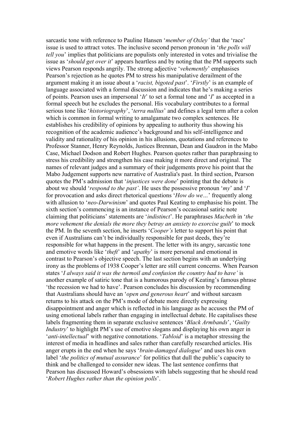sarcastic tone with reference to Pauline Hansen '*member of Oxley'* that the 'race' issue is used to attract votes. The inclusive second person pronoun in '*the polls will tell you*' implies that politicians are populists only interested in votes and trivialise the issue as '*should get over it*' appears heartless and by noting that the PM supports such views Pearson responds angrily. The strong adjective '*vehemently*' emphasises Pearson's rejection as he quotes PM to stress his manipulative derailment of the argument making it an issue about a '*racist, bigoted past*'. '*Firstly*' is an example of language associated with a formal discussion and indicates that he's making a series of points. Pearson uses an impersonal '*It*' to set a formal tone and '*I*' as accepted in a formal speech but he excludes the personal. His vocabulary contributes to a formal serious tone like '*historiography*', '*terra nullius*' and defines a legal term after a colon which is common in formal writing to amalgamate two complex sentences. He establishes his credibility of opinions by appealing to authority thus showing his recognition of the academic audience's background and his self-intelligence and validity and rationality of his opinion in his allusions, quotations and references to Professor Stanner, Henry Reynolds, Justices Brennan, Dean and Gaudron in the Mabo Case, Michael Dodson and Robert Hughes. Pearson quotes rather than paraphrasing to stress his credibility and strengthen his case making it more direct and original. The names of relevant judges and a summary of their judgements prove his point that the Mabo Judgement supports new narrative of Australia's past. In third section, Pearson quotes the PM's admission that '*injustices were done*' pointing that the debate is about we should '*respond to the past'*. He uses the possessive pronoun '*my*' and '*I*' for provocation and asks direct rhetorical questions '*How do we…*' frequently along with allusion to '*neo-Darwinism*' and quotes Paul Keating to emphasise his point. The sixth section's commencing is an instance of Pearson's occasional satiric note claiming that politicians' statements are '*indistinct*'. He paraphrases *Macbeth* in '*the more vehement the denials the more they betray an anxiety to exorcise guilt*' to mock the PM. In the seventh section, he inserts '*Cooper's* letter to support his point that even if Australians can't be individually responsible for past deeds, they're responsible for what happens in the present. The letter with its angry, sarcastic tone and emotive words like '*theft*' and '*apathy*' is more personal and emotional in contrast to Pearson's objective speech. The last section begins with an underlying irony as the problems of 1938 Cooper's letter are still current concerns. When Pearson states '*I always said it was the turmoil and confusion the country had to have'* is another example of satiric tone that is a humorous parody of Keating's famous phrase 'the recession we had to have'. Pearson concludes his discussion by recommending that Australians should have an '*open and generous heart*' and without sarcasm returns to his attack on the PM's mode of debate more directly expressing disappointment and anger which is reflected in his language as he accuses the PM of using emotional labels rather than engaging in intellectual debate. He capitalises these labels fragmenting them in separate exclusive sentences '*Black Armbands*', '*Guilty Industry*' to highlight PM's use of emotive slogans and displaying his own anger in '*anti-intellectual*' with negative connotations. '*Tabloid*' is a metaphor stressing the interest of media in headlines and sales rather than carefully researched articles. His anger erupts in the end when he says '*brain-damaged dialogue*' and uses his own label '*the politics of mutual assurance*' for politics that dull the public's capacity to think and be challenged to consider new ideas. The last sentence confirms that Pearson has discussed Howard's obsessions with labels suggesting that he should read '*Robert Hughes rather than the opinion polls*'.